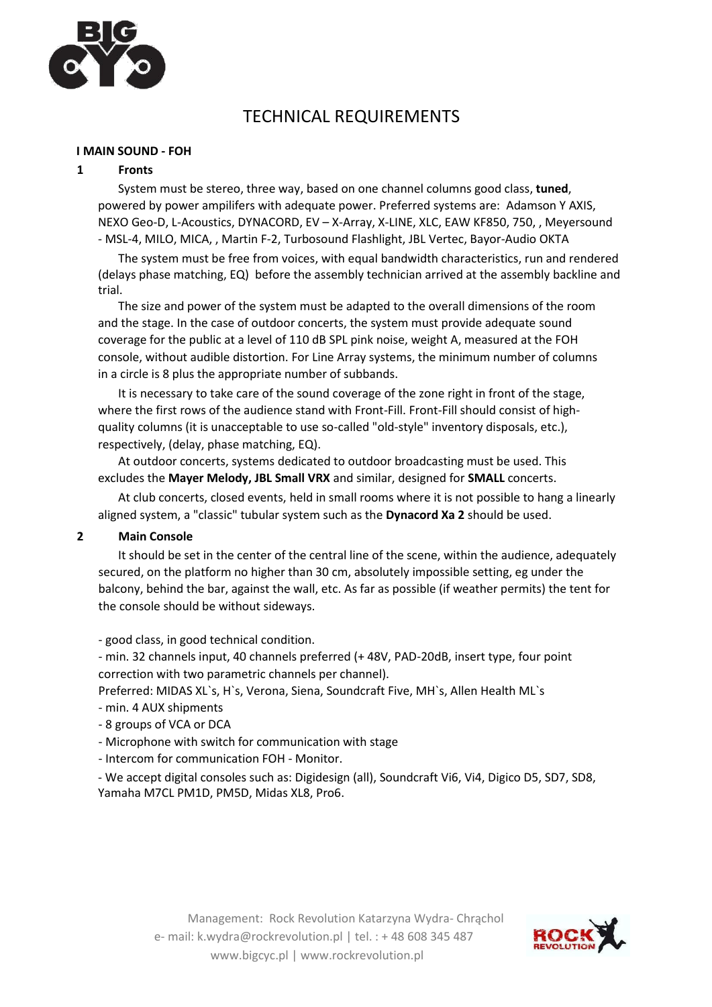

# TECHNICAL REQUIREMENTS

#### **I MAIN SOUND - FOH**

#### **1 Fronts**

System must be stereo, three way, based on one channel columns good class, **tuned**, powered by power ampilifers with adequate power. Preferred systems are: Adamson Y AXIS, NEXO Geo-D, L-Acoustics, DYNACORD, EV – X-Array, X-LINE, XLC, EAW KF850, 750, , Meyersound - MSL-4, MILO, MICA, , Martin F-2, Turbosound Flashlight, JBL Vertec, Bayor-Audio OKTA

The system must be free from voices, with equal bandwidth characteristics, run and rendered (delays phase matching, EQ) before the assembly technician arrived at the assembly backline and trial.

The size and power of the system must be adapted to the overall dimensions of the room and the stage. In the case of outdoor concerts, the system must provide adequate sound coverage for the public at a level of 110 dB SPL pink noise, weight A, measured at the FOH console, without audible distortion. For Line Array systems, the minimum number of columns in a circle is 8 plus the appropriate number of subbands.

It is necessary to take care of the sound coverage of the zone right in front of the stage, where the first rows of the audience stand with Front-Fill. Front-Fill should consist of highquality columns (it is unacceptable to use so-called "old-style" inventory disposals, etc.), respectively, (delay, phase matching, EQ).

At outdoor concerts, systems dedicated to outdoor broadcasting must be used. This excludes the **Mayer Melody, JBL Small VRX** and similar, designed for **SMALL** concerts.

At club concerts, closed events, held in small rooms where it is not possible to hang a linearly aligned system, a "classic" tubular system such as the **Dynacord Xa 2** should be used.

#### **2 Main Console**

It should be set in the center of the central line of the scene, within the audience, adequately secured, on the platform no higher than 30 cm, absolutely impossible setting, eg under the balcony, behind the bar, against the wall, etc. As far as possible (if weather permits) the tent for the console should be without sideways.

- good class, in good technical condition.

- min. 32 channels input, 40 channels preferred (+ 48V, PAD-20dB, insert type, four point correction with two parametric channels per channel).

Preferred: MIDAS XL`s, H`s, Verona, Siena, Soundcraft Five, MH`s, Allen Health ML`s

- min. 4 AUX shipments

- 8 groups of VCA or DCA
- Microphone with switch for communication with stage
- Intercom for communication FOH Monitor.

- We accept digital consoles such as: Digidesign (all), Soundcraft Vi6, Vi4, Digico D5, SD7, SD8, Yamaha M7CL PM1D, PM5D, Midas XL8, Pro6.

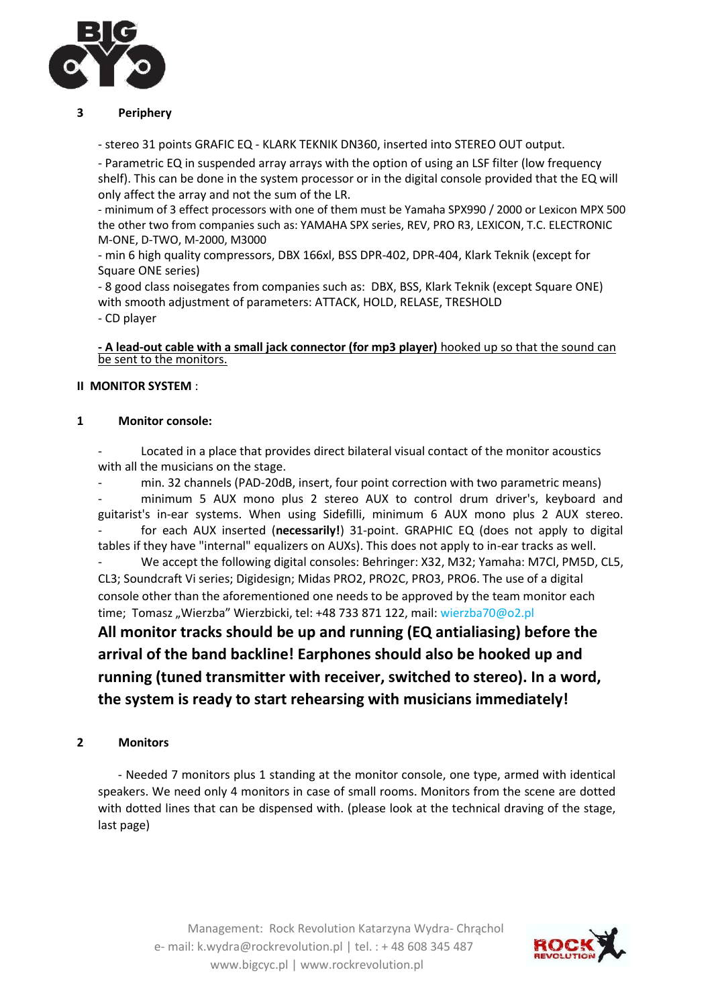

## **3 Periphery**

- stereo 31 points GRAFIC EQ - KLARK TEKNIK DN360, inserted into STEREO OUT output.

- Parametric EQ in suspended array arrays with the option of using an LSF filter (low frequency shelf). This can be done in the system processor or in the digital console provided that the EQ will only affect the array and not the sum of the LR.

- minimum of 3 effect processors with one of them must be Yamaha SPX990 / 2000 or Lexicon MPX 500 the other two from companies such as: YAMAHA SPX series, REV, PRO R3, LEXICON, T.C. ELECTRONIC M-ONE, D-TWO, M-2000, M3000

- min 6 high quality compressors, DBX 166xl, BSS DPR-402, DPR-404, Klark Teknik (except for Square ONE series)

- 8 good class noisegates from companies such as: DBX, BSS, Klark Teknik (except Square ONE) with smooth adjustment of parameters: ATTACK, HOLD, RELASE, TRESHOLD - CD player

#### **- A lead-out cable with a small jack connector (for mp3 player)** hooked up so that the sound can be sent to the monitors.

## **II MONITOR SYSTEM** :

## **1 Monitor console:**

Located in a place that provides direct bilateral visual contact of the monitor acoustics with all the musicians on the stage.

- min. 32 channels (PAD-20dB, insert, four point correction with two parametric means) minimum 5 AUX mono plus 2 stereo AUX to control drum driver's, keyboard and guitarist's in-ear systems. When using Sidefilli, minimum 6 AUX mono plus 2 AUX stereo. - for each AUX inserted (**necessarily!**) 31-point. GRAPHIC EQ (does not apply to digital tables if they have "internal" equalizers on AUXs). This does not apply to in-ear tracks as well.

We accept the following digital consoles: Behringer: X32, M32; Yamaha: M7Cl, PM5D, CL5, CL3; Soundcraft Vi series; Digidesign; Midas PRO2, PRO2C, PRO3, PRO6. The use of a digital console other than the aforementioned one needs to be approved by the team monitor each time; Tomasz "Wierzba" Wierzbicki, tel: +48 733 871 122, mail: wierzba70@o2.pl

**All monitor tracks should be up and running (EQ antialiasing) before the arrival of the band backline! Earphones should also be hooked up and running (tuned transmitter with receiver, switched to stereo). In a word, the system is ready to start rehearsing with musicians immediately!**

## **2 Monitors**

- Needed 7 monitors plus 1 standing at the monitor console, one type, armed with identical speakers. We need only 4 monitors in case of small rooms. Monitors from the scene are dotted with dotted lines that can be dispensed with. (please look at the technical draving of the stage, last page)

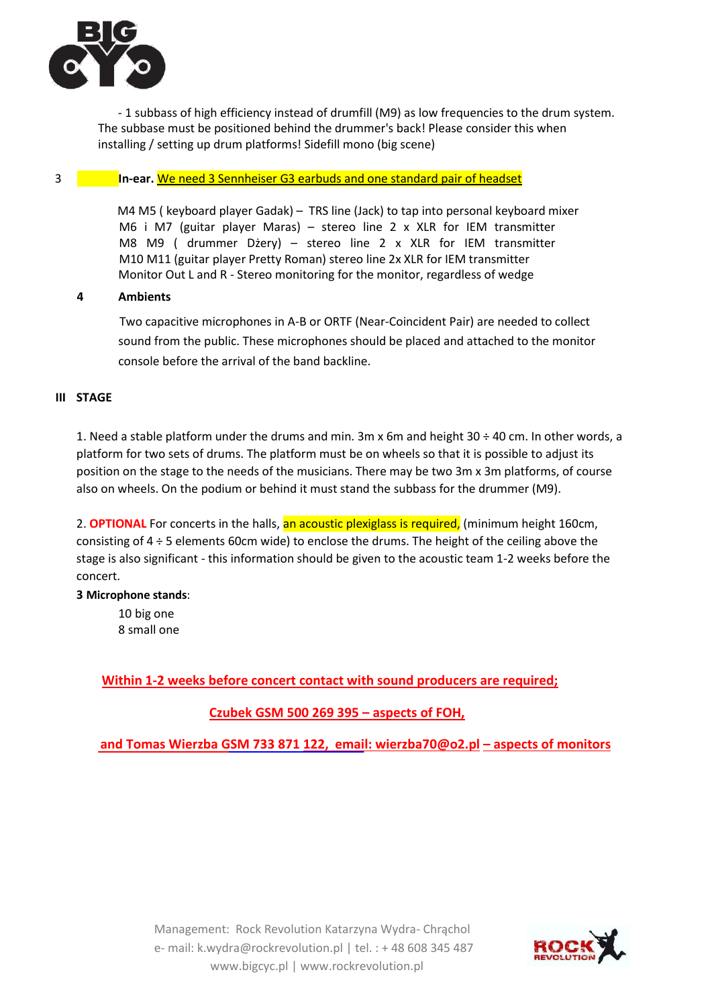

- 1 subbass of high efficiency instead of drumfill (M9) as low frequencies to the drum system. The subbase must be positioned behind the drummer's back! Please consider this when installing / setting up drum platforms! Sidefill mono (big scene)

## 3 **In-ear.** We need 3 Sennheiser G3 earbuds and one standard pair of headset

 M4 M5 ( keyboard player Gadak) – TRS line (Jack) to tap into personal keyboard mixer M6 i M7 (guitar player Maras) – stereo line 2 x XLR for IEM transmitter M8 M9 ( drummer Dżery) – stereo line 2 x XLR for IEM transmitter M10 M11 (guitar player Pretty Roman) stereo line 2x XLR for IEM transmitter Monitor Out L and R - Stereo monitoring for the monitor, regardless of wedge

## **4 Ambients**

Two capacitive microphones in A-B or ORTF (Near-Coincident Pair) are needed to collect sound from the public. These microphones should be placed and attached to the monitor console before the arrival of the band backline.

## **III STAGE**

1. Need a stable platform under the drums and min. 3m x 6m and height 30 ÷ 40 cm. In other words, a platform for two sets of drums. The platform must be on wheels so that it is possible to adjust its position on the stage to the needs of the musicians. There may be two 3m x 3m platforms, of course also on wheels. On the podium or behind it must stand the subbass for the drummer (M9).

2. **OPTIONAL** For concerts in the halls, an acoustic plexiglass is required, (minimum height 160cm, consisting of 4 ÷ 5 elements 60cm wide) to enclose the drums. The height of the ceiling above the stage is also significant - this information should be given to the acoustic team 1-2 weeks before the concert.

#### **3 Microphone stands**:

10 big one 8 small one

# **Within 1-2 weeks before concert contact with sound producers are required;**

# **Czubek GSM 500 269 395 – aspects of FOH,**

**and Tomas Wierzba GSM 733 871 [122, email: wierzba70](mailto:122,%20%20email:%20wierzba7)@o2.pl – aspects of monitors**

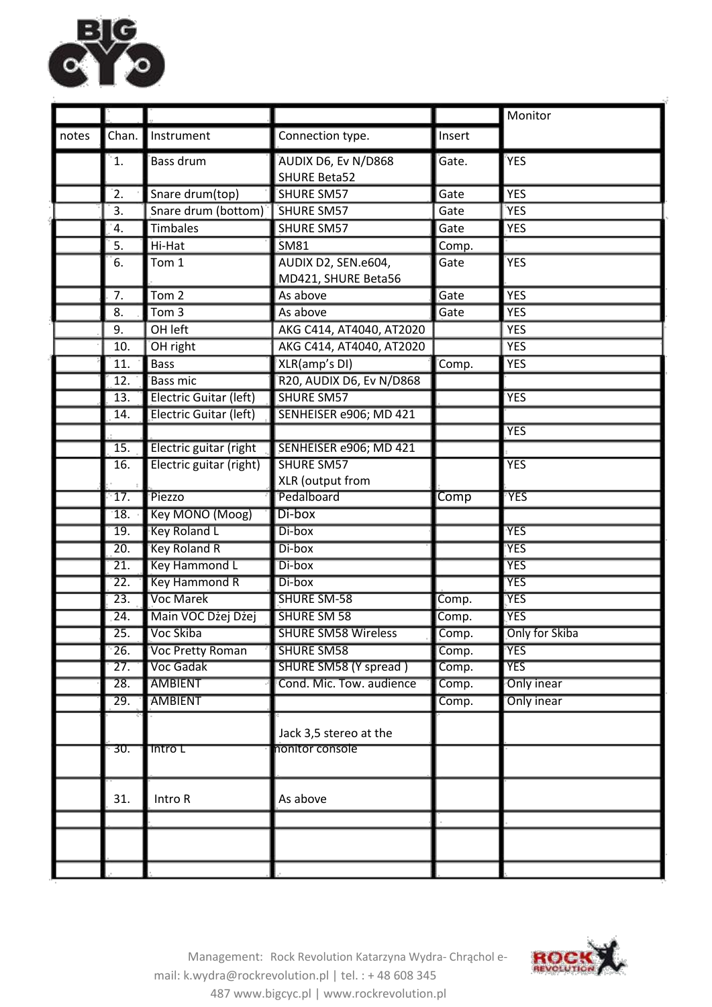

|       |                   |                               |                                            |        | Monitor           |
|-------|-------------------|-------------------------------|--------------------------------------------|--------|-------------------|
| notes | Chan.             | Instrument                    | Connection type.                           | Insert |                   |
|       | 1.                | <b>Bass drum</b>              | AUDIX D6, Ev N/D868<br><b>SHURE Beta52</b> | Gate.  | <b>YES</b>        |
|       | 2.                | Snare drum(top)               | <b>SHURE SM57</b>                          | Gate   | <b>YES</b>        |
|       | 3.                | Snare drum (bottom)           | <b>SHURE SM57</b>                          | Gate   | <b>YES</b>        |
|       | 4.                | <b>Timbales</b>               | <b>SHURE SM57</b>                          | Gate   | <b>YES</b>        |
|       | 5.                | Hi-Hat                        | SM81                                       | Comp.  |                   |
|       | 6.                | Tom 1                         | AUDIX D2, SEN.e604,<br>MD421, SHURE Beta56 | Gate   | <b>YES</b>        |
|       | 7.                | Tom <sub>2</sub>              | As above                                   | Gate   | <b>YES</b>        |
|       | 8.                | Tom <sub>3</sub>              | As above                                   | Gate   | <b>YES</b>        |
|       | 9.                | OH left                       | AKG C414, AT4040, AT2020                   |        | <b>YES</b>        |
|       | 10.               | OH right                      | AKG C414, AT4040, AT2020                   |        | <b>YES</b>        |
|       | 11.               | <b>Bass</b>                   | XLR(amp's DI)                              | Comp.  | <b>YES</b>        |
|       | $\overline{12}$ . | <b>Bass mic</b>               | R20, AUDIX D6, Ev N/D868                   |        |                   |
|       | 13.               | Electric Guitar (left)        | <b>SHURE SM57</b>                          |        | <b>YES</b>        |
|       | 14.               | <b>Electric Guitar (left)</b> | SENHEISER e906; MD 421                     |        |                   |
|       |                   |                               |                                            |        | <b>YES</b>        |
|       | $\overline{15}$ . | Electric guitar (right        | SENHEISER e906; MD 421                     |        |                   |
|       | $\overline{16}$ . | Electric guitar (right)       | <b>SHURE SM57</b>                          |        | <b>YES</b>        |
|       |                   |                               | XLR (output from                           |        |                   |
|       | 17.               | Piezzo                        | Pedalboard                                 | Comp   | <b>YES</b>        |
|       | 18.               | Key MONO (Moog)               | Di-box                                     |        |                   |
|       | 19.               | <b>Key Roland L</b>           | Di-box                                     |        | <b>YES</b>        |
|       | $\overline{20}$ . | <b>Key Roland R</b>           | Di-box                                     |        | <b>YES</b>        |
|       | $\overline{21}$ . | <b>Key Hammond L</b>          | Di-box                                     |        | <b>YES</b>        |
|       | $\overline{22}$ . | <b>Key Hammond R</b>          | Di-box                                     |        | <b>YES</b>        |
|       | $\overline{23}$ . | <b>Voc Marek</b>              | <b>SHURE SM-58</b>                         | Comp.  | <b>YES</b>        |
|       | $\overline{24}$ . | Main VOC Dżej Dżej            | <b>SHURE SM 58</b>                         | Comp.  | <b>YES</b>        |
|       | 25.               | Voc Skiba                     | <b>SHURE SM58 Wireless</b>                 | Comp.  | Only for Skiba    |
|       | $\overline{26}$ . | <b>Voc Pretty Roman</b>       | <b>SHURE SM58</b>                          | Comp.  | <b>YES</b>        |
|       | $\overline{27}$ . | Voc Gadak                     | <b>SHURE SM58 (Y spread)</b>               | Comp.  | <b>YES</b>        |
|       | $\overline{28}$ . | <b>AMBIENT</b>                | Cond. Mic. Tow. audience                   | Comp.  | Only inear        |
|       | 29.               | <b>AMBIENT</b>                |                                            | Comp.  | <b>Only inear</b> |
|       |                   |                               | Jack 3,5 stereo at the                     |        |                   |
|       | 30.               | <b>Intro L</b>                | nonitor console                            |        |                   |
|       | 31.               | Intro R                       | As above                                   |        |                   |
|       |                   |                               |                                            |        |                   |
|       |                   |                               |                                            |        |                   |
|       |                   |                               |                                            |        |                   |